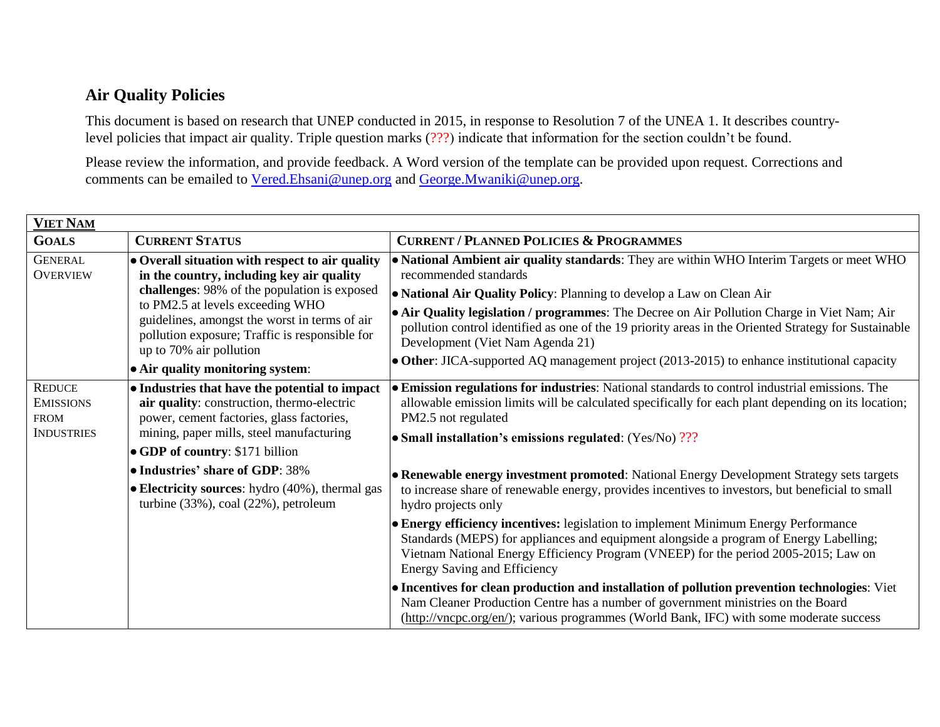## **Air Quality Policies**

This document is based on research that UNEP conducted in 2015, in response to Resolution 7 of the UNEA 1. It describes countrylevel policies that impact air quality. Triple question marks (???) indicate that information for the section couldn't be found.

Please review the information, and provide feedback. A Word version of the template can be provided upon request. Corrections and comments can be emailed to [Vered.Ehsani@unep.org](mailto:Vered.Ehsani@unep.org) and [George.Mwaniki@unep.org.](mailto:George.Mwaniki@unep.org)

| <b>VIET NAM</b>                                                       |                                                                                                                                                                                                                                                                                                                                                            |                                                                                                                                                                                                                                                                                                                                                                                                                                                                                                                                        |  |  |
|-----------------------------------------------------------------------|------------------------------------------------------------------------------------------------------------------------------------------------------------------------------------------------------------------------------------------------------------------------------------------------------------------------------------------------------------|----------------------------------------------------------------------------------------------------------------------------------------------------------------------------------------------------------------------------------------------------------------------------------------------------------------------------------------------------------------------------------------------------------------------------------------------------------------------------------------------------------------------------------------|--|--|
| <b>GOALS</b>                                                          | <b>CURRENT STATUS</b>                                                                                                                                                                                                                                                                                                                                      | <b>CURRENT / PLANNED POLICIES &amp; PROGRAMMES</b>                                                                                                                                                                                                                                                                                                                                                                                                                                                                                     |  |  |
| <b>GENERAL</b><br><b>OVERVIEW</b>                                     | $\bullet$ Overall situation with respect to air quality<br>in the country, including key air quality<br>challenges: 98% of the population is exposed<br>to PM2.5 at levels exceeding WHO<br>guidelines, amongst the worst in terms of air<br>pollution exposure; Traffic is responsible for<br>up to 70% air pollution<br>• Air quality monitoring system: | • National Ambient air quality standards: They are within WHO Interim Targets or meet WHO<br>recommended standards<br>• National Air Quality Policy: Planning to develop a Law on Clean Air<br>• Air Quality legislation / programmes: The Decree on Air Pollution Charge in Viet Nam; Air<br>pollution control identified as one of the 19 priority areas in the Oriented Strategy for Sustainable<br>Development (Viet Nam Agenda 21)<br>• Other: JICA-supported AQ management project (2013-2015) to enhance institutional capacity |  |  |
| <b>REDUCE</b><br><b>EMISSIONS</b><br><b>FROM</b><br><b>INDUSTRIES</b> | • Industries that have the potential to impact<br>air quality: construction, thermo-electric<br>power, cement factories, glass factories,<br>mining, paper mills, steel manufacturing<br>$\bullet$ GDP of country: \$171 billion                                                                                                                           | • Emission regulations for industries: National standards to control industrial emissions. The<br>allowable emission limits will be calculated specifically for each plant depending on its location;<br>PM2.5 not regulated<br>• Small installation's emissions regulated: (Yes/No) ???                                                                                                                                                                                                                                               |  |  |
|                                                                       | • Industries' share of GDP: 38%<br><b>• Electricity sources:</b> hydro $(40\%)$ , thermal gas<br>turbine $(33\%)$ , coal $(22\%)$ , petroleum                                                                                                                                                                                                              | • Renewable energy investment promoted: National Energy Development Strategy sets targets<br>to increase share of renewable energy, provides incentives to investors, but beneficial to small<br>hydro projects only<br>• Energy efficiency incentives: legislation to implement Minimum Energy Performance<br>Standards (MEPS) for appliances and equipment alongside a program of Energy Labelling;<br>Vietnam National Energy Efficiency Program (VNEEP) for the period 2005-2015; Law on                                           |  |  |
|                                                                       |                                                                                                                                                                                                                                                                                                                                                            | <b>Energy Saving and Efficiency</b><br>• Incentives for clean production and installation of pollution prevention technologies: Viet<br>Nam Cleaner Production Centre has a number of government ministries on the Board<br>(http://vncpc.org/en/); various programmes (World Bank, IFC) with some moderate success                                                                                                                                                                                                                    |  |  |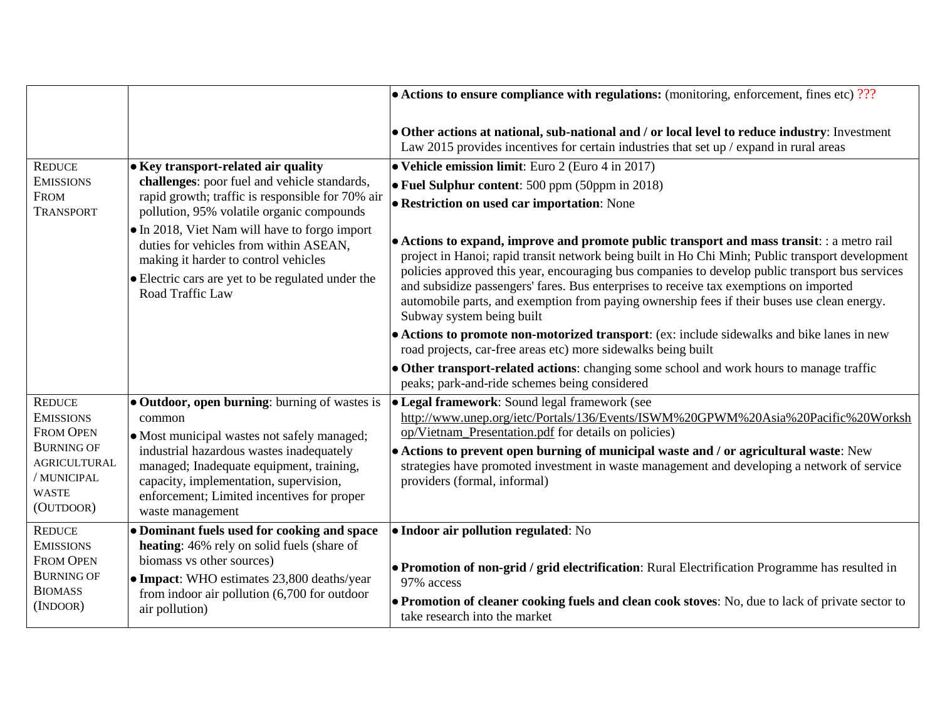|                                                                                                          |                                                                                                                                                                                                                                                                                                                                                                                                  | $\bullet$ Actions to ensure compliance with regulations: (monitoring, enforcement, fines etc) ???                                                                                                                                                                                                                                                                                                                                                                                                                       |
|----------------------------------------------------------------------------------------------------------|--------------------------------------------------------------------------------------------------------------------------------------------------------------------------------------------------------------------------------------------------------------------------------------------------------------------------------------------------------------------------------------------------|-------------------------------------------------------------------------------------------------------------------------------------------------------------------------------------------------------------------------------------------------------------------------------------------------------------------------------------------------------------------------------------------------------------------------------------------------------------------------------------------------------------------------|
|                                                                                                          |                                                                                                                                                                                                                                                                                                                                                                                                  | • Other actions at national, sub-national and / or local level to reduce industry: Investment<br>Law 2015 provides incentives for certain industries that set up / expand in rural areas                                                                                                                                                                                                                                                                                                                                |
| <b>REDUCE</b>                                                                                            | • Key transport-related air quality<br>challenges: poor fuel and vehicle standards,<br>rapid growth; traffic is responsible for 70% air<br>pollution, 95% volatile organic compounds<br>• In 2018, Viet Nam will have to forgo import<br>duties for vehicles from within ASEAN,<br>making it harder to control vehicles<br>• Electric cars are yet to be regulated under the<br>Road Traffic Law | • Vehicle emission limit: Euro 2 (Euro 4 in 2017)                                                                                                                                                                                                                                                                                                                                                                                                                                                                       |
| <b>EMISSIONS</b>                                                                                         |                                                                                                                                                                                                                                                                                                                                                                                                  | • Fuel Sulphur content: 500 ppm (50ppm in 2018)                                                                                                                                                                                                                                                                                                                                                                                                                                                                         |
| <b>FROM</b><br><b>TRANSPORT</b>                                                                          |                                                                                                                                                                                                                                                                                                                                                                                                  | • Restriction on used car importation: None                                                                                                                                                                                                                                                                                                                                                                                                                                                                             |
|                                                                                                          |                                                                                                                                                                                                                                                                                                                                                                                                  | • Actions to expand, improve and promote public transport and mass transit: : a metro rail<br>project in Hanoi; rapid transit network being built in Ho Chi Minh; Public transport development<br>policies approved this year, encouraging bus companies to develop public transport bus services<br>and subsidize passengers' fares. Bus enterprises to receive tax exemptions on imported<br>automobile parts, and exemption from paying ownership fees if their buses use clean energy.<br>Subway system being built |
|                                                                                                          |                                                                                                                                                                                                                                                                                                                                                                                                  | • Actions to promote non-motorized transport: (ex: include sidewalks and bike lanes in new<br>road projects, car-free areas etc) more sidewalks being built                                                                                                                                                                                                                                                                                                                                                             |
|                                                                                                          |                                                                                                                                                                                                                                                                                                                                                                                                  | • Other transport-related actions: changing some school and work hours to manage traffic<br>peaks; park-and-ride schemes being considered                                                                                                                                                                                                                                                                                                                                                                               |
| <b>REDUCE</b>                                                                                            | • Outdoor, open burning: burning of wastes is                                                                                                                                                                                                                                                                                                                                                    | · Legal framework: Sound legal framework (see                                                                                                                                                                                                                                                                                                                                                                                                                                                                           |
| <b>EMISSIONS</b>                                                                                         | common<br>• Most municipal wastes not safely managed;<br>industrial hazardous wastes inadequately<br>managed; Inadequate equipment, training,<br>capacity, implementation, supervision,<br>enforcement; Limited incentives for proper<br>waste management                                                                                                                                        | http://www.unep.org/ietc/Portals/136/Events/ISWM%20GPWM%20Asia%20Pacific%20Worksh                                                                                                                                                                                                                                                                                                                                                                                                                                       |
| <b>FROM OPEN</b><br><b>BURNING OF</b><br><b>AGRICULTURAL</b><br>/ MUNICIPAL<br><b>WASTE</b><br>(OUTDOOR) |                                                                                                                                                                                                                                                                                                                                                                                                  | op/Vietnam_Presentation.pdf for details on policies)                                                                                                                                                                                                                                                                                                                                                                                                                                                                    |
|                                                                                                          |                                                                                                                                                                                                                                                                                                                                                                                                  | • Actions to prevent open burning of municipal waste and / or agricultural waste: New<br>strategies have promoted investment in waste management and developing a network of service<br>providers (formal, informal)                                                                                                                                                                                                                                                                                                    |
| <b>REDUCE</b>                                                                                            | • Dominant fuels used for cooking and space                                                                                                                                                                                                                                                                                                                                                      | • Indoor air pollution regulated: No                                                                                                                                                                                                                                                                                                                                                                                                                                                                                    |
| <b>EMISSIONS</b><br><b>FROM OPEN</b><br><b>BURNING OF</b><br><b>BIOMASS</b><br>(INDOOR)                  | heating: 46% rely on solid fuels (share of<br>biomass vs other sources)<br>• Impact: WHO estimates 23,800 deaths/year<br>from indoor air pollution $(6,700)$ for outdoor<br>air pollution)                                                                                                                                                                                                       | • Promotion of non-grid / grid electrification: Rural Electrification Programme has resulted in<br>97% access                                                                                                                                                                                                                                                                                                                                                                                                           |
|                                                                                                          |                                                                                                                                                                                                                                                                                                                                                                                                  | • Promotion of cleaner cooking fuels and clean cook stoves: No, due to lack of private sector to<br>take research into the market                                                                                                                                                                                                                                                                                                                                                                                       |